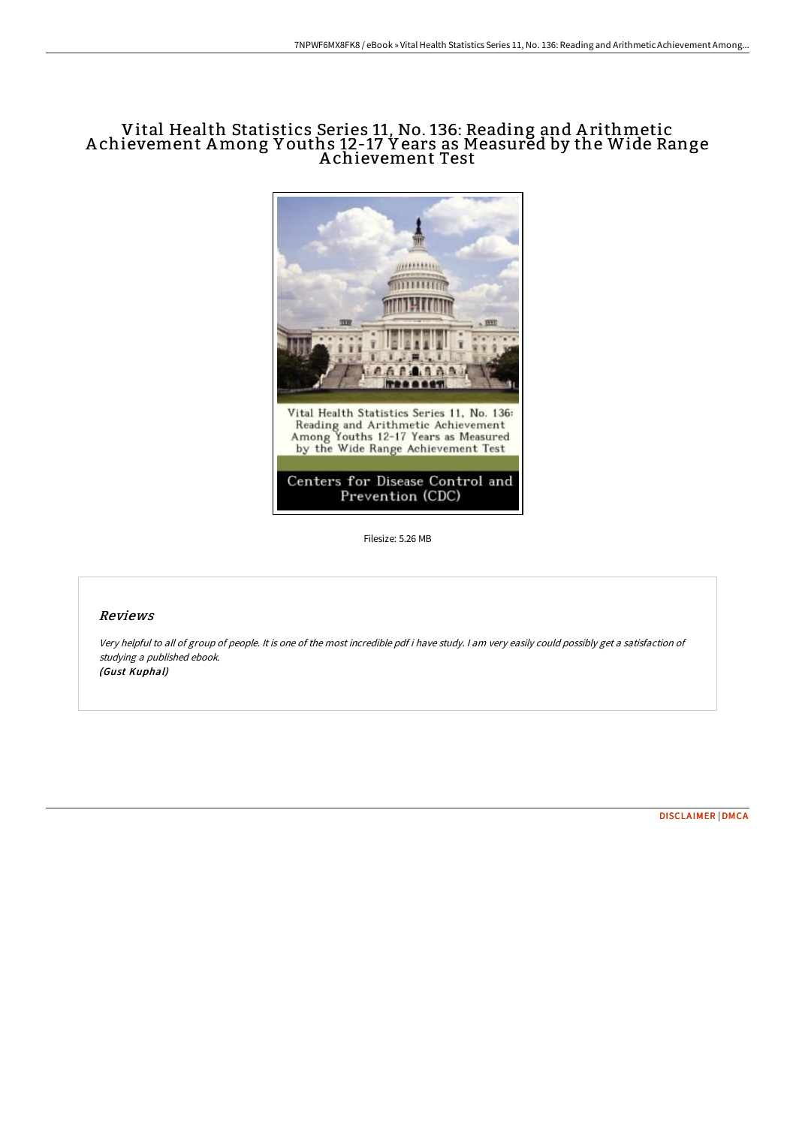# Vital Health Statistics Series 11, No. 136: Reading and A rithmetic A chievement Among Y ouths 12-17 Y ears as Measured by the Wide Range A chievement Test



Filesize: 5.26 MB

## Reviews

Very helpful to all of group of people. It is one of the most incredible pdf i have study. <sup>I</sup> am very easily could possibly get <sup>a</sup> satisfaction of studying <sup>a</sup> published ebook. (Gust Kuphal)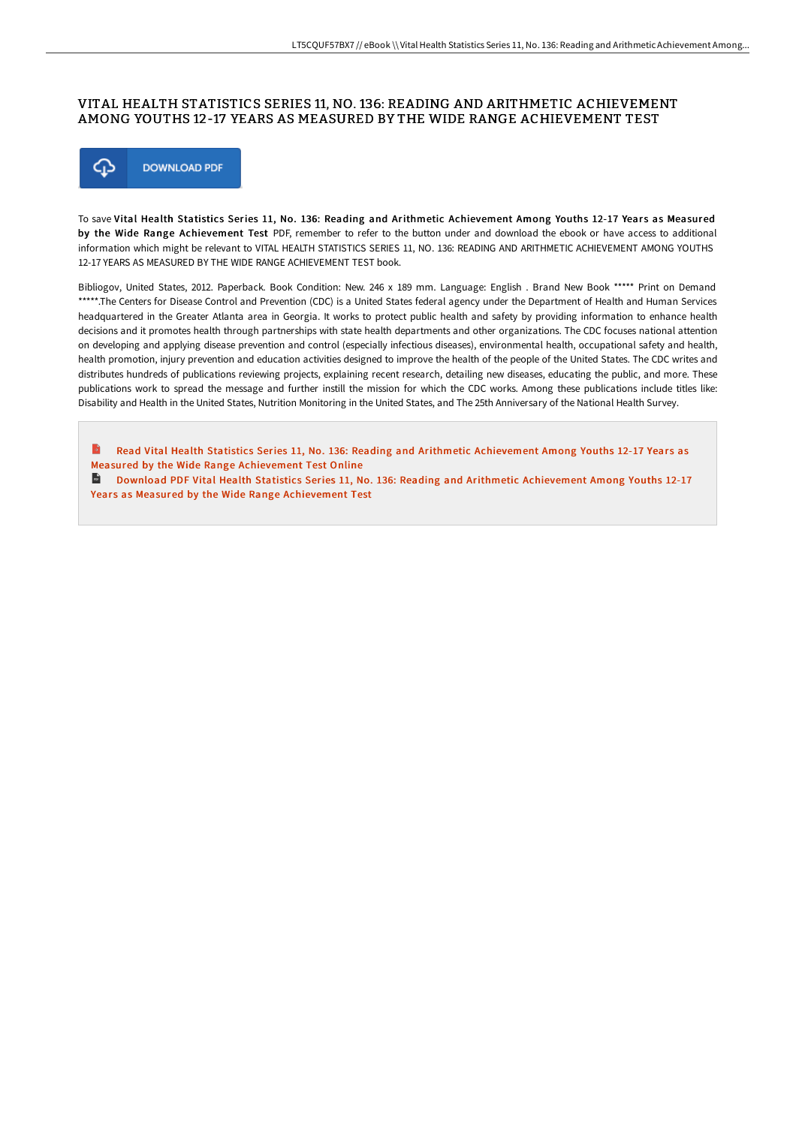## VITAL HEALTH STATISTICS SERIES 11, NO. 136: READING AND ARITHMETIC ACHIEVEMENT AMONG YOUTHS 12-17 YEARS AS MEASURED BY THE WIDE RANGE ACHIEVEMENT TEST



To save Vital Health Statistics Series 11, No. 136: Reading and Arithmetic Achievement Among Youths 12-17 Years as Measured by the Wide Range Achievement Test PDF, remember to refer to the button under and download the ebook or have access to additional information which might be relevant to VITAL HEALTH STATISTICS SERIES 11, NO. 136: READING AND ARITHMETIC ACHIEVEMENT AMONG YOUTHS 12-17 YEARS AS MEASURED BY THE WIDE RANGE ACHIEVEMENT TEST book.

Bibliogov, United States, 2012. Paperback. Book Condition: New. 246 x 189 mm. Language: English . Brand New Book \*\*\*\*\* Print on Demand \*\*\*\*\*.The Centers for Disease Control and Prevention (CDC) is a United States federal agency under the Department of Health and Human Services headquartered in the Greater Atlanta area in Georgia. It works to protect public health and safety by providing information to enhance health decisions and it promotes health through partnerships with state health departments and other organizations. The CDC focuses national attention on developing and applying disease prevention and control (especially infectious diseases), environmental health, occupational safety and health, health promotion, injury prevention and education activities designed to improve the health of the people of the United States. The CDC writes and distributes hundreds of publications reviewing projects, explaining recent research, detailing new diseases, educating the public, and more. These publications work to spread the message and further instill the mission for which the CDC works. Among these publications include titles like: Disability and Health in the United States, Nutrition Monitoring in the United States, and The 25th Anniversary of the National Health Survey.

Read Vital Health Statistics Series 11, No. 136: Reading and Arithmetic [Achievement](http://www.bookdirs.com/vital-health-statistics-series-11-no-136-reading.html) Among Youths 12-17 Years as Measured by the Wide Range Achievement Test Online

Download PDF Vital Health Statistics Series 11, No. 136: Reading and Arithmetic [Achievement](http://www.bookdirs.com/vital-health-statistics-series-11-no-136-reading.html) Among Youths 12-17 Years as Measured by the Wide Range Achievement Test